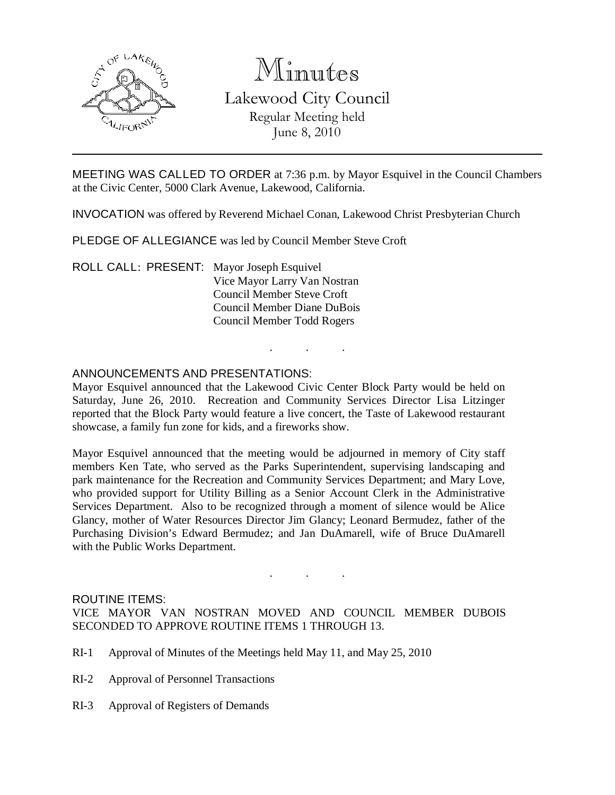

# Minutes Lakewood City Council Regular Meeting held June 8, 2010

MEETING WAS CALLED TO ORDER at 7:36 p.m. by Mayor Esquivel in the Council Chambers at the Civic Center, 5000 Clark Avenue, Lakewood, California.

INVOCATION was offered by Reverend Michael Conan, Lakewood Christ Presbyterian Church

PLEDGE OF ALLEGIANCE was led by Council Member Steve Croft

ROLL CALL: PRESENT: Mayor Joseph Esquivel Vice Mayor Larry Van Nostran Council Member Steve Croft Council Member Diane DuBois Council Member Todd Rogers

# ANNOUNCEMENTS AND PRESENTATIONS:

Mayor Esquivel announced that the Lakewood Civic Center Block Party would be held on Saturday, June 26, 2010. Recreation and Community Services Director Lisa Litzinger reported that the Block Party would feature a live concert, the Taste of Lakewood restaurant showcase, a family fun zone for kids, and a fireworks show.

. . .

Mayor Esquivel announced that the meeting would be adjourned in memory of City staff members Ken Tate, who served as the Parks Superintendent, supervising landscaping and park maintenance for the Recreation and Community Services Department; and Mary Love, who provided support for Utility Billing as a Senior Account Clerk in the Administrative Services Department. Also to be recognized through a moment of silence would be Alice Glancy, mother of Water Resources Director Jim Glancy; Leonard Bermudez, father of the Purchasing Division's Edward Bermudez; and Jan DuAmarell, wife of Bruce DuAmarell with the Public Works Department.

#### ROUTINE ITEMS:

VICE MAYOR VAN NOSTRAN MOVED AND COUNCIL MEMBER DUBOIS SECONDED TO APPROVE ROUTINE ITEMS 1 THROUGH 13.

. . .

- RI-1 Approval of Minutes of the Meetings held May 11, and May 25, 2010
- RI-2 Approval of Personnel Transactions
- RI-3 Approval of Registers of Demands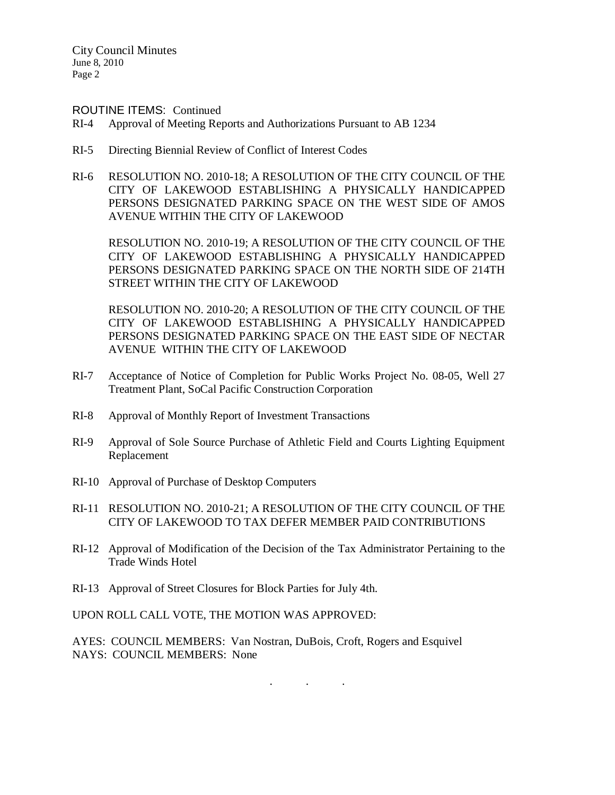ROUTINE ITEMS: Continued

- RI-4 Approval of Meeting Reports and Authorizations Pursuant to AB 1234
- RI-5 Directing Biennial Review of Conflict of Interest Codes
- RI-6 RESOLUTION NO. 2010-18; A RESOLUTION OF THE CITY COUNCIL OF THE CITY OF LAKEWOOD ESTABLISHING A PHYSICALLY HANDICAPPED PERSONS DESIGNATED PARKING SPACE ON THE WEST SIDE OF AMOS AVENUE WITHIN THE CITY OF LAKEWOOD

RESOLUTION NO. 2010-19; A RESOLUTION OF THE CITY COUNCIL OF THE CITY OF LAKEWOOD ESTABLISHING A PHYSICALLY HANDICAPPED PERSONS DESIGNATED PARKING SPACE ON THE NORTH SIDE OF 214TH STREET WITHIN THE CITY OF LAKEWOOD

RESOLUTION NO. 2010-20; A RESOLUTION OF THE CITY COUNCIL OF THE CITY OF LAKEWOOD ESTABLISHING A PHYSICALLY HANDICAPPED PERSONS DESIGNATED PARKING SPACE ON THE EAST SIDE OF NECTAR AVENUE WITHIN THE CITY OF LAKEWOOD

- RI-7 Acceptance of Notice of Completion for Public Works Project No. 08-05, Well 27 Treatment Plant, SoCal Pacific Construction Corporation
- RI-8 Approval of Monthly Report of Investment Transactions
- RI-9 Approval of Sole Source Purchase of Athletic Field and Courts Lighting Equipment Replacement
- RI-10 Approval of Purchase of Desktop Computers
- RI-11 RESOLUTION NO. 2010-21; A RESOLUTION OF THE CITY COUNCIL OF THE CITY OF LAKEWOOD TO TAX DEFER MEMBER PAID CONTRIBUTIONS
- RI-12 Approval of Modification of the Decision of the Tax Administrator Pertaining to the Trade Winds Hotel
- RI-13 Approval of Street Closures for Block Parties for July 4th.

UPON ROLL CALL VOTE, THE MOTION WAS APPROVED:

AYES: COUNCIL MEMBERS: Van Nostran, DuBois, Croft, Rogers and Esquivel NAYS: COUNCIL MEMBERS: None

. . .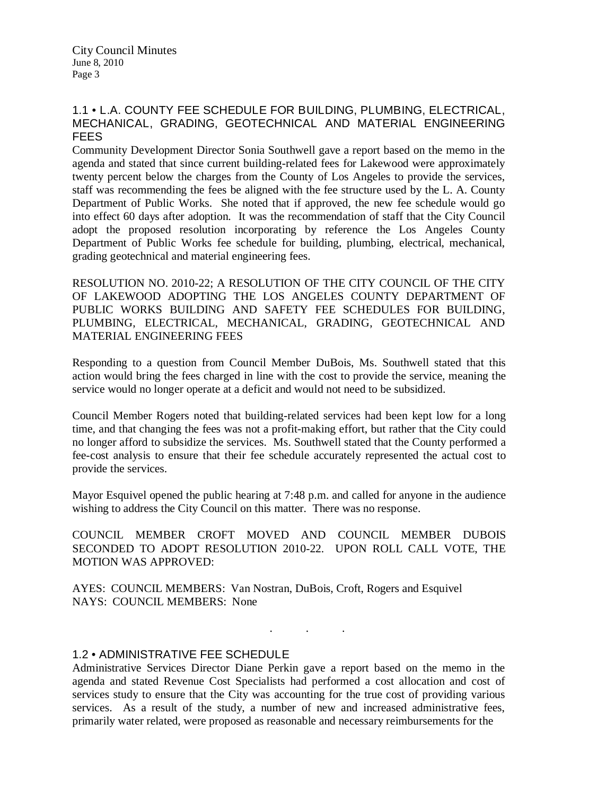# 1.1 • L.A. COUNTY FEE SCHEDULE FOR BUILDING, PLUMBING, ELECTRICAL, MECHANICAL, GRADING, GEOTECHNICAL AND MATERIAL ENGINEERING FEES

Community Development Director Sonia Southwell gave a report based on the memo in the agenda and stated that since current building-related fees for Lakewood were approximately twenty percent below the charges from the County of Los Angeles to provide the services, staff was recommending the fees be aligned with the fee structure used by the L. A. County Department of Public Works. She noted that if approved, the new fee schedule would go into effect 60 days after adoption. It was the recommendation of staff that the City Council adopt the proposed resolution incorporating by reference the Los Angeles County Department of Public Works fee schedule for building, plumbing, electrical, mechanical, grading geotechnical and material engineering fees.

RESOLUTION NO. 2010-22; A RESOLUTION OF THE CITY COUNCIL OF THE CITY OF LAKEWOOD ADOPTING THE LOS ANGELES COUNTY DEPARTMENT OF PUBLIC WORKS BUILDING AND SAFETY FEE SCHEDULES FOR BUILDING, PLUMBING, ELECTRICAL, MECHANICAL, GRADING, GEOTECHNICAL AND MATERIAL ENGINEERING FEES

Responding to a question from Council Member DuBois, Ms. Southwell stated that this action would bring the fees charged in line with the cost to provide the service, meaning the service would no longer operate at a deficit and would not need to be subsidized.

Council Member Rogers noted that building-related services had been kept low for a long time, and that changing the fees was not a profit-making effort, but rather that the City could no longer afford to subsidize the services. Ms. Southwell stated that the County performed a fee-cost analysis to ensure that their fee schedule accurately represented the actual cost to provide the services.

Mayor Esquivel opened the public hearing at 7:48 p.m. and called for anyone in the audience wishing to address the City Council on this matter. There was no response.

COUNCIL MEMBER CROFT MOVED AND COUNCIL MEMBER DUBOIS SECONDED TO ADOPT RESOLUTION 2010-22. UPON ROLL CALL VOTE, THE MOTION WAS APPROVED:

AYES: COUNCIL MEMBERS: Van Nostran, DuBois, Croft, Rogers and Esquivel NAYS: COUNCIL MEMBERS: None

# 1.2 • ADMINISTRATIVE FEE SCHEDULE

Administrative Services Director Diane Perkin gave a report based on the memo in the agenda and stated Revenue Cost Specialists had performed a cost allocation and cost of services study to ensure that the City was accounting for the true cost of providing various services. As a result of the study, a number of new and increased administrative fees, primarily water related, were proposed as reasonable and necessary reimbursements for the

. . .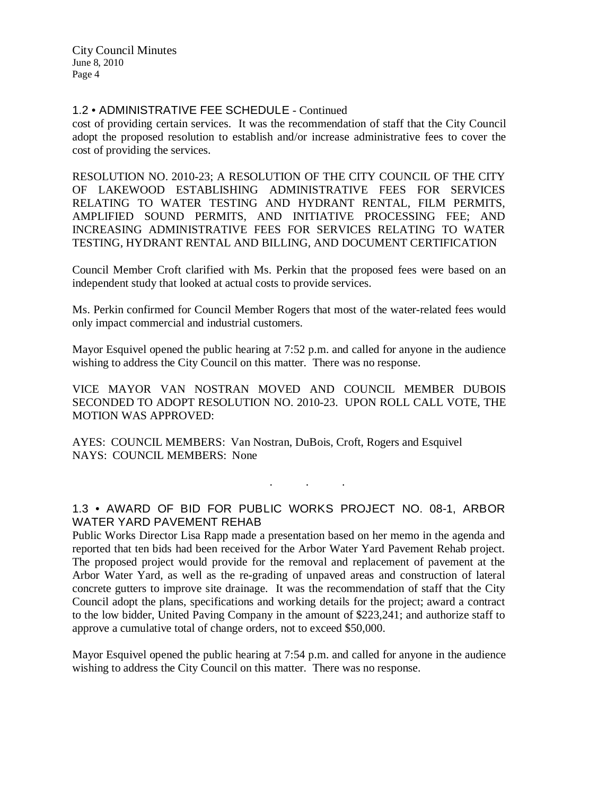# 1.2 • ADMINISTRATIVE FEE SCHEDULE - Continued

cost of providing certain services. It was the recommendation of staff that the City Council adopt the proposed resolution to establish and/or increase administrative fees to cover the cost of providing the services.

RESOLUTION NO. 2010-23; A RESOLUTION OF THE CITY COUNCIL OF THE CITY OF LAKEWOOD ESTABLISHING ADMINISTRATIVE FEES FOR SERVICES RELATING TO WATER TESTING AND HYDRANT RENTAL, FILM PERMITS, AMPLIFIED SOUND PERMITS, AND INITIATIVE PROCESSING FEE; AND INCREASING ADMINISTRATIVE FEES FOR SERVICES RELATING TO WATER TESTING, HYDRANT RENTAL AND BILLING, AND DOCUMENT CERTIFICATION

Council Member Croft clarified with Ms. Perkin that the proposed fees were based on an independent study that looked at actual costs to provide services.

Ms. Perkin confirmed for Council Member Rogers that most of the water-related fees would only impact commercial and industrial customers.

Mayor Esquivel opened the public hearing at 7:52 p.m. and called for anyone in the audience wishing to address the City Council on this matter. There was no response.

VICE MAYOR VAN NOSTRAN MOVED AND COUNCIL MEMBER DUBOIS SECONDED TO ADOPT RESOLUTION NO. 2010-23. UPON ROLL CALL VOTE, THE MOTION WAS APPROVED:

AYES: COUNCIL MEMBERS: Van Nostran, DuBois, Croft, Rogers and Esquivel NAYS: COUNCIL MEMBERS: None

1.3 • AWARD OF BID FOR PUBLIC WORKS PROJECT NO. 08-1, ARBOR WATER YARD PAVEMENT REHAB

. . .

Public Works Director Lisa Rapp made a presentation based on her memo in the agenda and reported that ten bids had been received for the Arbor Water Yard Pavement Rehab project. The proposed project would provide for the removal and replacement of pavement at the Arbor Water Yard, as well as the re-grading of unpaved areas and construction of lateral concrete gutters to improve site drainage. It was the recommendation of staff that the City Council adopt the plans, specifications and working details for the project; award a contract to the low bidder, United Paving Company in the amount of \$223,241; and authorize staff to approve a cumulative total of change orders, not to exceed \$50,000.

Mayor Esquivel opened the public hearing at 7:54 p.m. and called for anyone in the audience wishing to address the City Council on this matter. There was no response.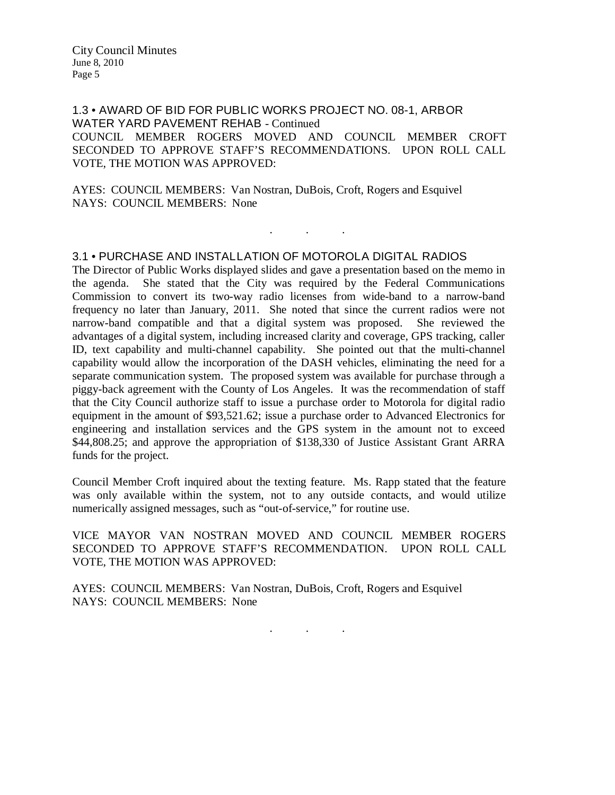1.3 • AWARD OF BID FOR PUBLIC WORKS PROJECT NO. 08-1, ARBOR WATER YARD PAVEMENT REHAB - Continued COUNCIL MEMBER ROGERS MOVED AND COUNCIL MEMBER CROFT SECONDED TO APPROVE STAFF'S RECOMMENDATIONS. UPON ROLL CALL VOTE, THE MOTION WAS APPROVED:

. . .

AYES: COUNCIL MEMBERS: Van Nostran, DuBois, Croft, Rogers and Esquivel NAYS: COUNCIL MEMBERS: None

# 3.1 • PURCHASE AND INSTALLATION OF MOTOROLA DIGITAL RADIOS

The Director of Public Works displayed slides and gave a presentation based on the memo in the agenda. She stated that the City was required by the Federal Communications Commission to convert its two-way radio licenses from wide-band to a narrow-band frequency no later than January, 2011. She noted that since the current radios were not narrow-band compatible and that a digital system was proposed. She reviewed the advantages of a digital system, including increased clarity and coverage, GPS tracking, caller ID, text capability and multi-channel capability. She pointed out that the multi-channel capability would allow the incorporation of the DASH vehicles, eliminating the need for a separate communication system. The proposed system was available for purchase through a piggy-back agreement with the County of Los Angeles. It was the recommendation of staff that the City Council authorize staff to issue a purchase order to Motorola for digital radio equipment in the amount of \$93,521.62; issue a purchase order to Advanced Electronics for engineering and installation services and the GPS system in the amount not to exceed \$44,808.25; and approve the appropriation of \$138,330 of Justice Assistant Grant ARRA funds for the project.

Council Member Croft inquired about the texting feature. Ms. Rapp stated that the feature was only available within the system, not to any outside contacts, and would utilize numerically assigned messages, such as "out-of-service," for routine use.

VICE MAYOR VAN NOSTRAN MOVED AND COUNCIL MEMBER ROGERS SECONDED TO APPROVE STAFF'S RECOMMENDATION. UPON ROLL CALL VOTE, THE MOTION WAS APPROVED:

. . .

AYES: COUNCIL MEMBERS: Van Nostran, DuBois, Croft, Rogers and Esquivel NAYS: COUNCIL MEMBERS: None